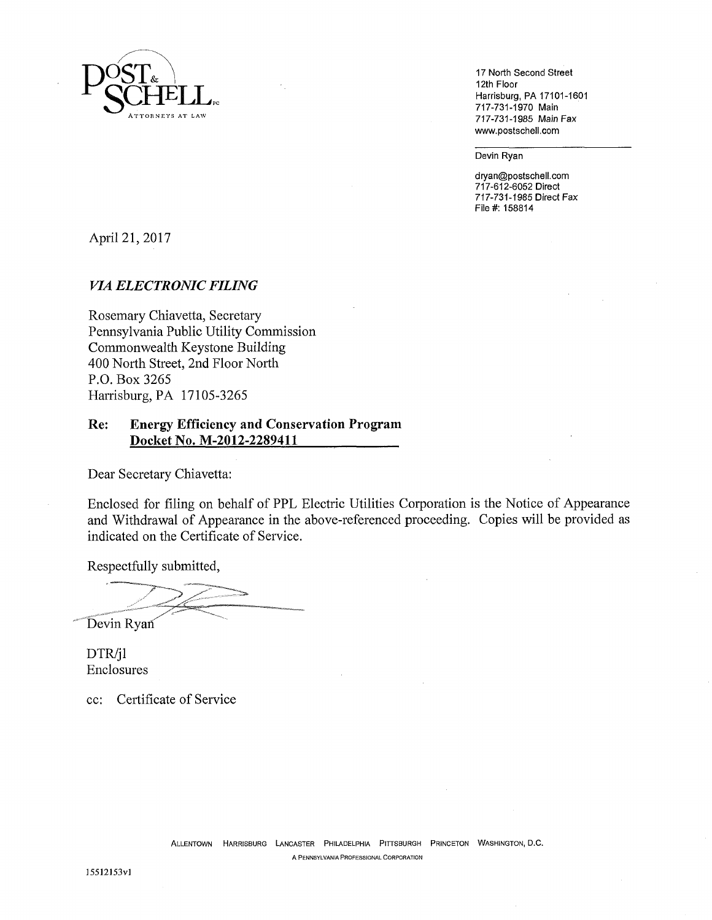

**17 North Second Street 12th Floor Harrisburg, PA 17101-1601 717-731-1970 Main 717-731-1985 Main Fax www. postschell .com** 

**Devin Ryan** 

**dryan@postschell.com 717-612-6052 Direct 717-731-1985 Direct Fax File#: 158814** 

April 21, 2017

#### *VIA ELECTRONIC FILING*

Rosemary Chiavetta, Secretary Pennsylvania Public Utility Commission Commonwealth Keystone Building 400 North Street, 2nd Floor North P.O. Box 3265 Harrisburg, PA 17105-3265

### **Re: Energy Efficiency and Conservation Program Docket No. M-2012-2289411**

Dear Secretary Chiavetta:

Enclosed for filing on behalf of PPL Electric Utilities Corporation is the Notice of Appearance and Withdrawal of Appearance in the above-referenced proceeding. Copies will be provided as indicated on the Certificate of Service.

Respectfully submitted,

Devin Ryan

DTR/jl Enclosures

cc: Certificate of Service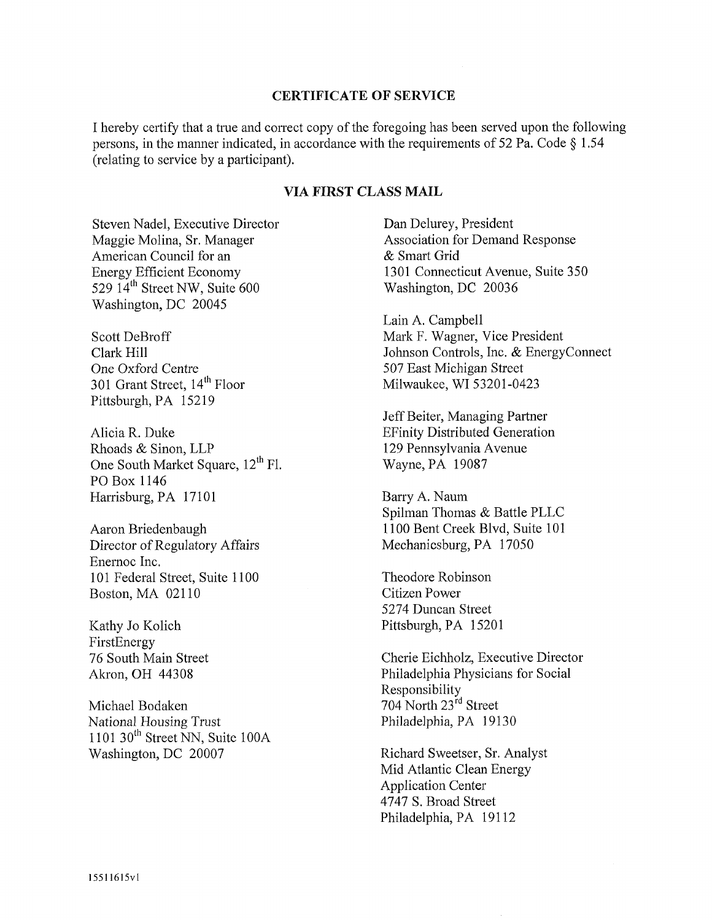#### **CERTIFICATE OF SERVICE**

I hereby certify that a true and correct copy of the foregoing has been served upon the following persons, in the manner indicated, in accordance with the requirements of 52 Pa. Code § 1.54 (relating to service by a participant).

# **VIA FIRST CLASS MAIL**

Steven Nadel, Executive Director Maggie Molina, Sr. Manager American Council for an Energy Efficient Economy 529  $14<sup>th</sup>$  Street NW, Suite 600 Washington, DC 20045

Scott DeBroff Clark Hill One Oxford Centre 301 Grant Street, 14<sup>th</sup> Floor Pittsburgh, PA 15219

Alicia R. Duke Rhoads & Sinon, LLP One South Market Square, 12<sup>th</sup> Fl. PO Box 1146 Harrisburg, PA 17101

Aaron Briedenbaugh Director of Regulatory Affairs Enernoc Inc. 101 Federal Street, Suite 1100 Boston, MA 02110

Kathy Jo Kolich FirstEnergy 76 South Main Street Akron, OH 44308

Michael Bodaken National Housing Trust  $1101$  30<sup>th</sup> Street NN, Suite 100A Washington, DC 20007

Dan Delurey, President Association for Demand Response & Smart Grid 1301 Connecticut Avenue, Suite 350 Washington, DC 20036

Lain A. Campbell Mark F. Wagner, Vice President Johnson Controls, Inc. & EnergyConnect 507 East Michigan Street Milwaukee, WI 53201-0423

Jeff Beiter, Managing Partner EFinity Distributed Generation 129 Pennsylvania Avenue Wayne, PA 19087

Barry A. Naum Spilman Thomas & Battle PLLC 1100 Bent Creek Blvd, Suite 101 Mechanicsburg, PA 17050

Theodore Robinson Citizen Power 5274 Duncan Street Pittsburgh, PA 15201

Cherie Eichholz, Executive Director Philadelphia Physicians for Social Responsibility 704 North 23rd Street Philadelphia, PA 19130

Richard Sweetser, Sr. Analyst Mid Atlantic Clean Energy Application Center 4747 S. Broad Street Philadelphia, PA 19112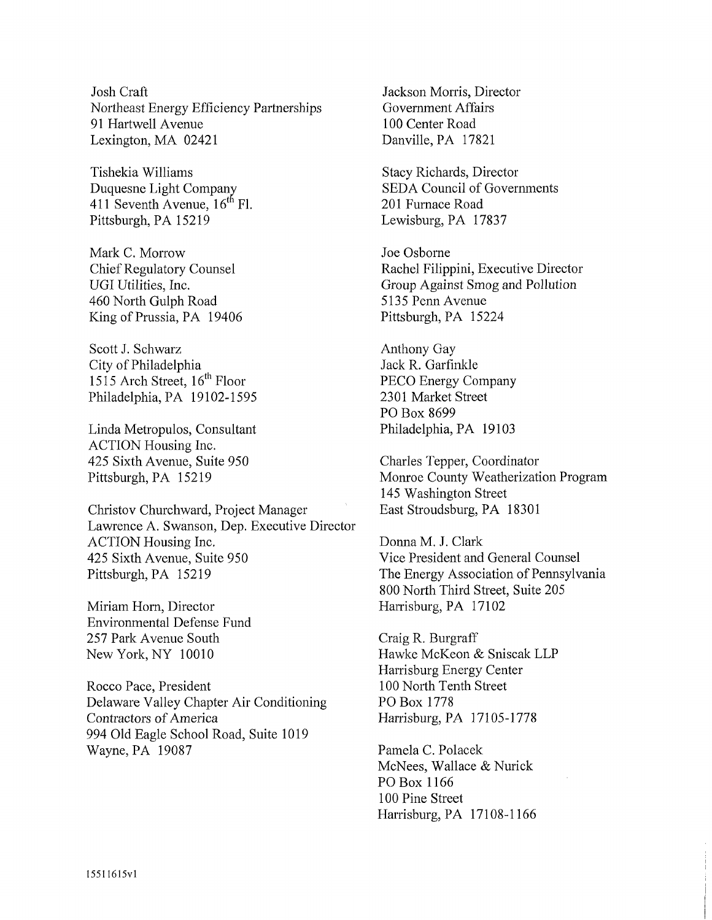Josh Craft Northeast Energy Efficiency Partnerships 91 Hart well Avenue Lexington, MA 02421

Tishekia Williams Duquesne Light Company 411 Seventh Avenue,  $16^{th}$  Fl. Pittsburgh, PA 15219

Mark C. Morrow Chief Regulatory Counsel UGI Utilities, Inc. 460 North Gulph Road King of Prussia, PA 19406

Scott J. Schwarz City of Philadelphia 1515 Arch Street,  $16^{th}$  Floor Philadelphia, PA 19102-1595

Linda Metropulos, Consultant ACTION Housing Inc. 425 Sixth Avenue, Suite 950 Pittsburgh, PA 15219

Christov Churchward, Project Manager Lawrence A. Swanson, Dep. Executive Director ACTION Housing Inc. 425 Sixth Avenue, Suite 950 Pittsburgh, PA 15219

Miriam Horn, Director Environmental Defense Fund 257 Park Avenue South New York, NY 10010

Rocco Pace, President Delaware Valley Chapter Air Conditioning Contractors of America 994 Old Eagle School Road, Suite 1019 Wayne, PA 19087

Jackson Morris, Director Government Affairs 100 Center Road Danville, PA 17821

Stacy Richards, Director SEDA Council of Governments 201 Furnace Road Lewisburg, PA 17837

Joe Osborne Rachel Filippini, Executive Director Group Against Smog and Pollution 5135 Penn Avenue Pittsburgh, PA 15224

Anthony Gay Jack R. Garfinkle PECO Energy Company 2301 Market Street PO Box 8699 Philadelphia, PA 19103

Charles Tepper, Coordinator Monroe County Weatherization Program 145 Washington Street East Stroudsburg, PA 18301

Donna M. J. Clark Vice President and General Counsel The Energy Association of Pennsylvania 800 North Third Street, Suite 205 Harrisburg, PA 17102

Craig R. Burgraff Hawke McKeon & Sniscak LLP Harrisburg Energy Center 100 North Tenth Street PO Box 1778 Harrisburg, PA 17105-1778

Pamela C. Polacek McNees, Wallace & Nurick PO Box 1166 100 Pine Street Harrisburg, PA 17108-1166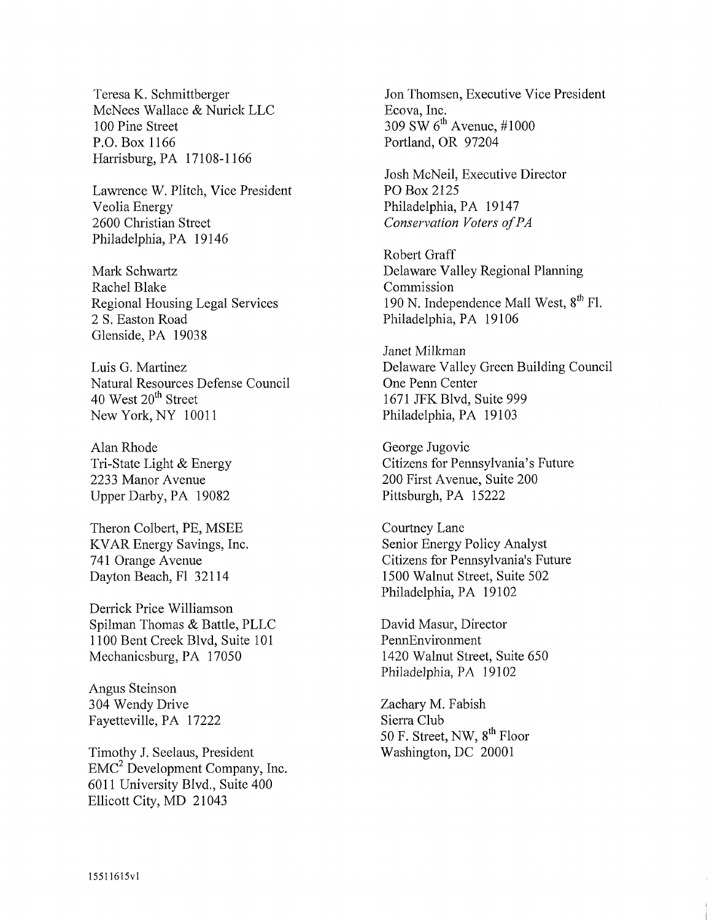Teresa K. Schmittberger McNees Wallace & Nurick LLC 100 Pine Street P.O. Box 1166 Harrisburg, PA 17108-1166

Lawrence W. Plitch, Vice President Veolia Energy 2600 Christian Street Philadelphia, PA 19146

Mark Schwartz Rachel Blake Regional Housing Legal Services 2 S. Easton Road Glenside, PA 19038

Luis G. Martinez Natural Resources Defense Council 40 West 20<sup>th</sup> Street New York, NY 10011

Alan Rhode Tri-State Light & Energy 2233 Manor Avenue Upper Darby, PA 19082

Theron Colbert, PE, MSEE KVAR Energy Savings, Inc. 741 Orange Avenue Dayton Beach, F1 32114

Derrick Price Williamson Spilman Thomas & Battle, PLLC 1100 Bent Creek Blvd, Suite 101 Mechanicsburg, PA 17050

Angus Steinson 304 Wendy Drive Fayetteville, PA 17222

Timothy J. Seelaus, President  $EMC<sup>2</sup>$  Development Company, Inc. 6011 University Blvd., Suite 400 Ellicott City, MD 21043

Jon Thomsen, Executive Vice President Ecova, Inc. 309 SW  $6^{\text{th}}$  Avenue, #1000 Portland, OR 97204

Josh McNeil, Executive Director PO Box 2125 Philadelphia, PA 19147 *Conservation Voters of PA* 

Robert Graff Delaware Valley Regional Planning Commission 190 N. Independence Mall West,  $8^{\text{th}}$  Fl. Philadelphia, PA 19106

Janet Milkman Delaware Valley Green Building Council One Penn Center 1671 JFK Blvd, Suite 999 Philadelphia, PA 19103

George Jugovic Citizens for Pennsylvania's Future 200 First Avenue, Suite 200 Pittsburgh, PA 15222

Courtney Lane Senior Energy Policy Analyst Citizens for Pennsylvania's Future 1500 Walnut Street, Suite 502 Philadelphia, PA 19102

David Masur, Director PennEnvironment 1420 Walnut Street, Suite 650 Philadelphia, PA 19102

Zachary M. Fabish Sierra Club 50 F. Street, NW, 8<sup>th</sup> Floor Washington, DC 20001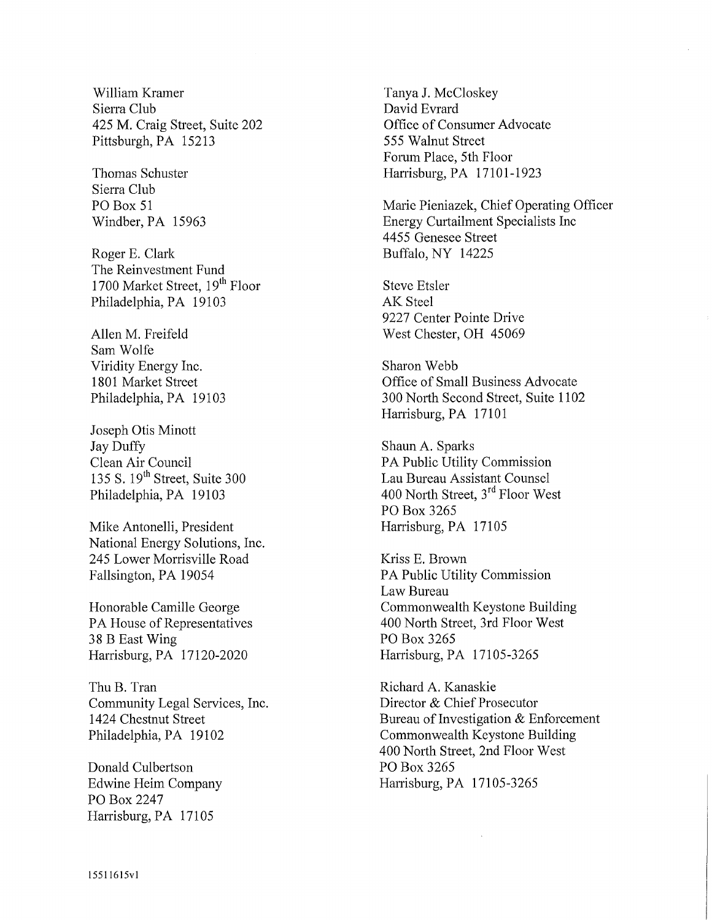William Kramer Tanya J. McCloskey Sierra Club David Evrard 425 M. Craig Street, Suite 202 Office of Consumer Advocate Pittsburgh, PA 15213 555 Walnut Street

Sierra Club

Roger E. Clark Buffalo, NY 14225 The Reinvestment Fund 1700 Market Street, 19<sup>th</sup> Floor Steve Etsler Philadelphia, PA 19103 AK Steel

Sam Wolfe Viridity Energy Inc. Sharon Webb

Joseph Otis Minott Jay Duffy Shaun A. Sparks Philadelphia, PA 19103

Mike Antonelli, President Harrisburg, PA 17105 National Energy Solutions, Inc. 245 Lower Morrisville Road Kriss E. Brown Fallsington, PA 19054 PA Public Utility Commission

38 B East Wing PO Box 3265 Harrisburg, PA 17120-2020 Harrisburg, PA 17105-3265

Thu B. Tran Richard A. Kanaskie Community Legal Services, Inc. Director & Chief Prosecutor

Donald Culbertson PO Box 3265 PO Box 2247 Harrisburg, PA 17105

Forum Place, 5th Floor Thomas Schuster Harrisburg, PA 17101-1923

PO Box 51 Marie Pieniazek, Chief Operating Officer Windber, PA 15963 Energy Curtailment Specialists Inc 4455 Genesee Street

9227 Center Pointe Drive Allen M. Freifeld West Chester, OH 45069

1801 Market Street Office of Small Business Advocate Philadelphia, PA 19103 300 North Second Street, Suite 1102 Harrisburg, PA 17101

Clean Air Council PA Public Utility Commission<br>135 S. 19<sup>th</sup> Street, Suite 300 Lau Bureau Assistant Counsel Lau Bureau Assistant Counsel 400 North Street,  $3^{rd}$  Floor West PO Box 3265

Law Bureau Honorable Camille George Commonwealth Keystone Building PA House of Representatives 400 North Street, 3rd Floor West

1424 Chestnut Street Bureau of Investigation & Enforcement Philadelphia, PA 19102 Commonwealth Keystone Building 400 North Street, 2nd Floor West Edwine Heim Company Harrisburg, PA 17105-3265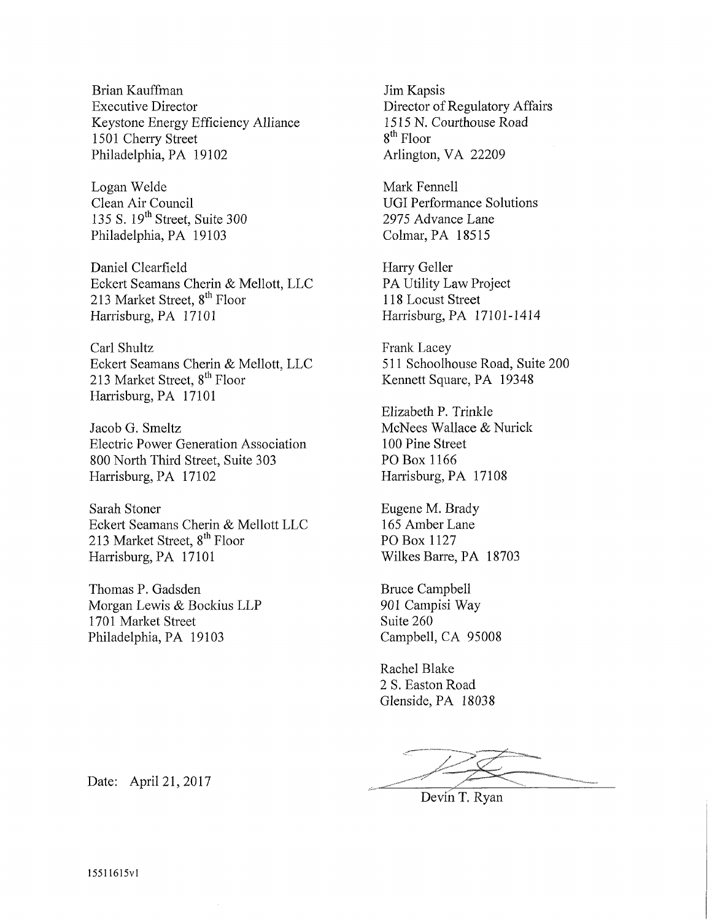Brian Kauffman Executive Director Keystone Energy Efficiency Alliance 1501 Cherry Street Philadelphia, PA 19102

Logan Welde Clean Air Council 135 S. 19<sup>th</sup> Street, Suite 300 Philadelphia, PA 19103

Daniel Clearfield Eckert Seamans Cherin & Mellott, LLC 213 Market Street, 8<sup>th</sup> Floor Harrisburg, PA 17101

Carl Shultz Eckert Seamans Cherin & Mellott, LLC 213 Market Street, 8<sup>th</sup> Floor Harrisburg, PA 17101

Jacob G. Smeltz Electric Power Generation Association 800 North Third Street, Suite 303 Harrisburg, PA 17102

Sarah Stoner Eckert Seamans Cherin & Mellott LLC 213 Market Street, 8<sup>th</sup> Floor Harrisburg, PA 17101

Thomas P. Gadsden Morgan Lewis & Bockius LLP 1701 Market Street Philadelphia, PA 19103

Jim Kapsis Director of Regulatory Affairs 1515 N. Courthouse Road 8<sup>th</sup> Floor Arlington, VA 22209

Mark Fennell UGI Performance Solutions 2975 Advance Lane Colmar, PA 18515

Harry Geller PA Utility Law Project 118 Locust Street Harrisburg, PA 17101-1414

Frank Lacey 511 Schoolhouse Road, Suite 200 Kennett Square, PA 19348

Elizabeth P. Trinkle McNees Wallace & Nurick 100 Pine Street PO Box 1166 Harrisburg, PA 17108

Eugene M. Brady 165 Amber Lane PO Box 1127 Wilkes Barre, PA 18703

Bruce Campbell 901 Campisi Way Suite 260 Campbell, CA 95008

Rachel Blake 2 S. Easton Road Glenside, PA 18038

Devin T. Ryan

Date: April 21,2017